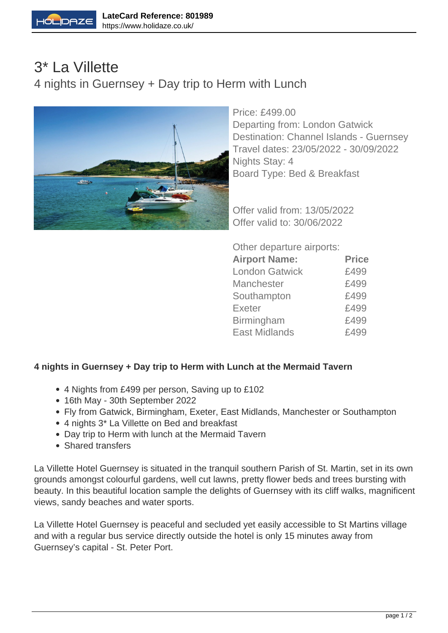

## 3\* La Villette 4 nights in Guernsey + Day trip to Herm with Lunch



Price: £499.00 Departing from: London Gatwick Destination: Channel Islands - Guernsey Travel dates: 23/05/2022 - 30/09/2022 Nights Stay: 4 Board Type: Bed & Breakfast

Offer valid from: 13/05/2022 Offer valid to: 30/06/2022

Other departure airports:

| <b>Airport Name:</b>  | <b>Price</b> |
|-----------------------|--------------|
| <b>London Gatwick</b> | £499         |
| <b>Manchester</b>     | £499         |
| Southampton           | £499         |
| <b>Exeter</b>         | £499         |
| Birmingham            | £499         |
| <b>East Midlands</b>  | £499         |
|                       |              |

## **4 nights in Guernsey + Day trip to Herm with Lunch at the Mermaid Tavern**

- 4 Nights from £499 per person, Saving up to £102
- 16th May 30th September 2022
- Fly from Gatwick, Birmingham, Exeter, East Midlands, Manchester or Southampton
- 4 nights 3\* La Villette on Bed and breakfast
- Day trip to Herm with lunch at the Mermaid Tavern
- Shared transfers

La Villette Hotel Guernsey is situated in the tranquil southern Parish of St. Martin, set in its own grounds amongst colourful gardens, well cut lawns, pretty flower beds and trees bursting with beauty. In this beautiful location sample the delights of Guernsey with its cliff walks, magnificent views, sandy beaches and water sports.

La Villette Hotel Guernsey is peaceful and secluded yet easily accessible to St Martins village and with a regular bus service directly outside the hotel is only 15 minutes away from Guernsey's capital - St. Peter Port.